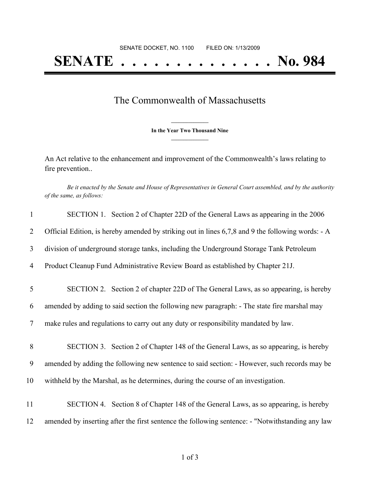## **SENATE . . . . . . . . . . . . . . No. 984**

## The Commonwealth of Massachusetts

**\_\_\_\_\_\_\_\_\_\_\_\_\_\_\_ In the Year Two Thousand Nine \_\_\_\_\_\_\_\_\_\_\_\_\_\_\_**

An Act relative to the enhancement and improvement of the Commonwealth's laws relating to fire prevention..

Be it enacted by the Senate and House of Representatives in General Court assembled, and by the authority *of the same, as follows:*

| $\mathbf{1}$   | SECTION 1. Section 2 of Chapter 22D of the General Laws as appearing in the 2006                  |
|----------------|---------------------------------------------------------------------------------------------------|
| 2              | Official Edition, is hereby amended by striking out in lines 6,7,8 and 9 the following words: - A |
| 3              | division of underground storage tanks, including the Underground Storage Tank Petroleum           |
| $\overline{4}$ | Product Cleanup Fund Administrative Review Board as established by Chapter 21J.                   |
| 5              | SECTION 2. Section 2 of chapter 22D of The General Laws, as so appearing, is hereby               |
| 6              | amended by adding to said section the following new paragraph: - The state fire marshal may       |
| $\tau$         | make rules and regulations to carry out any duty or responsibility mandated by law.               |
| 8              | SECTION 3. Section 2 of Chapter 148 of the General Laws, as so appearing, is hereby               |
| 9              | amended by adding the following new sentence to said section: - However, such records may be      |
| 10             | withheld by the Marshal, as he determines, during the course of an investigation.                 |
| 11             | SECTION 4. Section 8 of Chapter 148 of the General Laws, as so appearing, is hereby               |
| 12             | amended by inserting after the first sentence the following sentence: - "Notwithstanding any law  |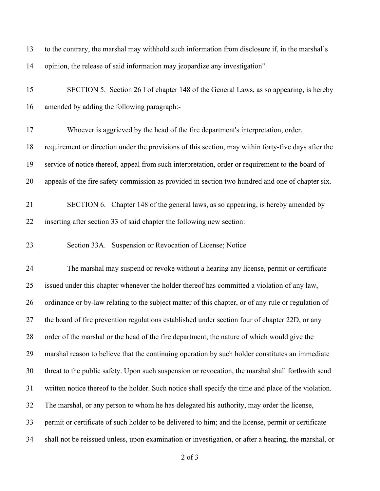| 13 | to the contrary, the marshal may withhold such information from disclosure if, in the marshal's      |
|----|------------------------------------------------------------------------------------------------------|
| 14 | opinion, the release of said information may jeopardize any investigation".                          |
| 15 | SECTION 5. Section 26 I of chapter 148 of the General Laws, as so appearing, is hereby               |
| 16 | amended by adding the following paragraph:-                                                          |
| 17 | Whoever is aggrieved by the head of the fire department's interpretation, order,                     |
| 18 | requirement or direction under the provisions of this section, may within forty-five days after the  |
| 19 | service of notice thereof, appeal from such interpretation, order or requirement to the board of     |
| 20 | appeals of the fire safety commission as provided in section two hundred and one of chapter six.     |
| 21 | SECTION 6. Chapter 148 of the general laws, as so appearing, is hereby amended by                    |
| 22 | inserting after section 33 of said chapter the following new section:                                |
| 23 | Section 33A. Suspension or Revocation of License; Notice                                             |
| 24 | The marshal may suspend or revoke without a hearing any license, permit or certificate               |
| 25 | issued under this chapter whenever the holder thereof has committed a violation of any law,          |
| 26 | ordinance or by-law relating to the subject matter of this chapter, or of any rule or regulation of  |
| 27 | the board of fire prevention regulations established under section four of chapter 22D, or any       |
| 28 | order of the marshal or the head of the fire department, the nature of which would give the          |
| 29 | marshal reason to believe that the continuing operation by such holder constitutes an immediate      |
| 30 | threat to the public safety. Upon such suspension or revocation, the marshal shall forthwith send    |
| 31 | written notice thereof to the holder. Such notice shall specify the time and place of the violation. |
| 32 | The marshal, or any person to whom he has delegated his authority, may order the license,            |
| 33 | permit or certificate of such holder to be delivered to him; and the license, permit or certificate  |
| 34 | shall not be reissued unless, upon examination or investigation, or after a hearing, the marshal, or |

of 3